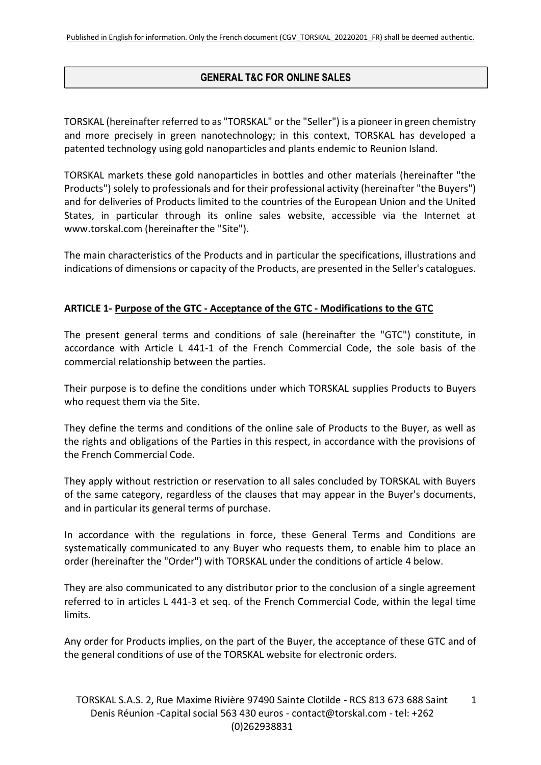# **GENERAL T&C FOR ONLINE SALES**

TORSKAL (hereinafter referred to as "TORSKAL" or the "Seller") is a pioneer in green chemistry and more precisely in green nanotechnology; in this context, TORSKAL has developed a patented technology using gold nanoparticles and plants endemic to Reunion Island.

TORSKAL markets these gold nanoparticles in bottles and other materials (hereinafter "the Products") solely to professionals and for their professional activity (hereinafter "the Buyers") and for deliveries of Products limited to the countries of the European Union and the United States, in particular through its online sales website, accessible via the Internet at www.torskal.com (hereinafter the "Site").

The main characteristics of the Products and in particular the specifications, illustrations and indications of dimensions or capacity of the Products, are presented in the Seller's catalogues.

## **ARTICLE 1- Purpose of the GTC - Acceptance of the GTC - Modifications to the GTC**

The present general terms and conditions of sale (hereinafter the "GTC") constitute, in accordance with Article L 441-1 of the French Commercial Code, the sole basis of the commercial relationship between the parties.

Their purpose is to define the conditions under which TORSKAL supplies Products to Buyers who request them via the Site.

They define the terms and conditions of the online sale of Products to the Buyer, as well as the rights and obligations of the Parties in this respect, in accordance with the provisions of the French Commercial Code.

They apply without restriction or reservation to all sales concluded by TORSKAL with Buyers of the same category, regardless of the clauses that may appear in the Buyer's documents, and in particular its general terms of purchase.

In accordance with the regulations in force, these General Terms and Conditions are systematically communicated to any Buyer who requests them, to enable him to place an order (hereinafter the "Order") with TORSKAL under the conditions of article 4 below.

They are also communicated to any distributor prior to the conclusion of a single agreement referred to in articles L 441-3 et seq. of the French Commercial Code, within the legal time limits.

Any order for Products implies, on the part of the Buyer, the acceptance of these GTC and of the general conditions of use of the TORSKAL website for electronic orders.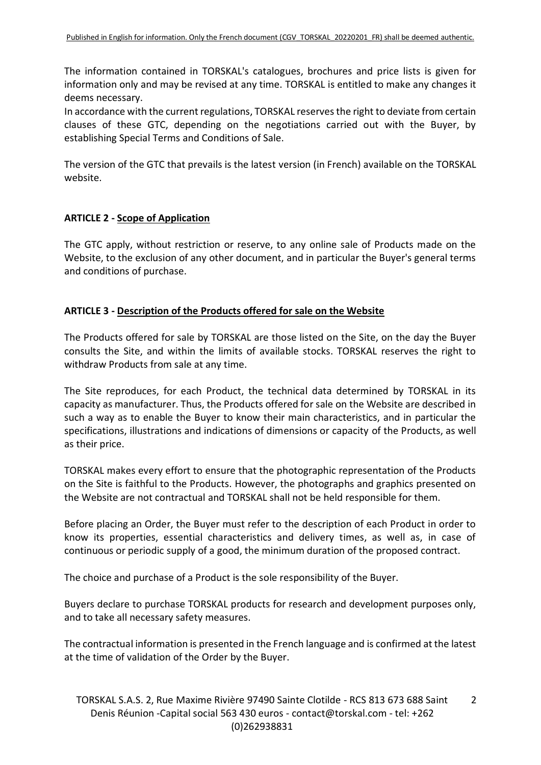The information contained in TORSKAL's catalogues, brochures and price lists is given for information only and may be revised at any time. TORSKAL is entitled to make any changes it deems necessary.

In accordance with the current regulations, TORSKAL reserves the right to deviate from certain clauses of these GTC, depending on the negotiations carried out with the Buyer, by establishing Special Terms and Conditions of Sale.

The version of the GTC that prevails is the latest version (in French) available on the TORSKAL website.

## **ARTICLE 2 - Scope of Application**

The GTC apply, without restriction or reserve, to any online sale of Products made on the Website, to the exclusion of any other document, and in particular the Buyer's general terms and conditions of purchase.

### **ARTICLE 3 - Description of the Products offered for sale on the Website**

The Products offered for sale by TORSKAL are those listed on the Site, on the day the Buyer consults the Site, and within the limits of available stocks. TORSKAL reserves the right to withdraw Products from sale at any time.

The Site reproduces, for each Product, the technical data determined by TORSKAL in its capacity as manufacturer. Thus, the Products offered for sale on the Website are described in such a way as to enable the Buyer to know their main characteristics, and in particular the specifications, illustrations and indications of dimensions or capacity of the Products, as well as their price.

TORSKAL makes every effort to ensure that the photographic representation of the Products on the Site is faithful to the Products. However, the photographs and graphics presented on the Website are not contractual and TORSKAL shall not be held responsible for them.

Before placing an Order, the Buyer must refer to the description of each Product in order to know its properties, essential characteristics and delivery times, as well as, in case of continuous or periodic supply of a good, the minimum duration of the proposed contract.

The choice and purchase of a Product is the sole responsibility of the Buyer.

Buyers declare to purchase TORSKAL products for research and development purposes only, and to take all necessary safety measures.

The contractual information is presented in the French language and is confirmed at the latest at the time of validation of the Order by the Buyer.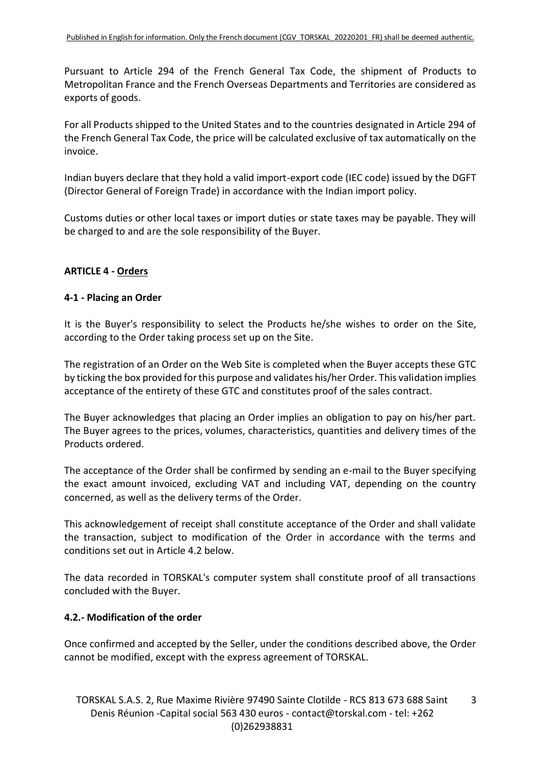Pursuant to Article 294 of the French General Tax Code, the shipment of Products to Metropolitan France and the French Overseas Departments and Territories are considered as exports of goods.

For all Products shipped to the United States and to the countries designated in Article 294 of the French General Tax Code, the price will be calculated exclusive of tax automatically on the invoice.

Indian buyers declare that they hold a valid import-export code (IEC code) issued by the DGFT (Director General of Foreign Trade) in accordance with the Indian import policy.

Customs duties or other local taxes or import duties or state taxes may be payable. They will be charged to and are the sole responsibility of the Buyer.

## **ARTICLE 4 - Orders**

#### **4-1 - Placing an Order**

It is the Buyer's responsibility to select the Products he/she wishes to order on the Site, according to the Order taking process set up on the Site.

The registration of an Order on the Web Site is completed when the Buyer accepts these GTC by ticking the box provided for this purpose and validates his/her Order. This validation implies acceptance of the entirety of these GTC and constitutes proof of the sales contract.

The Buyer acknowledges that placing an Order implies an obligation to pay on his/her part. The Buyer agrees to the prices, volumes, characteristics, quantities and delivery times of the Products ordered.

The acceptance of the Order shall be confirmed by sending an e-mail to the Buyer specifying the exact amount invoiced, excluding VAT and including VAT, depending on the country concerned, as well as the delivery terms of the Order.

This acknowledgement of receipt shall constitute acceptance of the Order and shall validate the transaction, subject to modification of the Order in accordance with the terms and conditions set out in Article 4.2 below.

The data recorded in TORSKAL's computer system shall constitute proof of all transactions concluded with the Buyer.

## **4.2.- Modification of the order**

Once confirmed and accepted by the Seller, under the conditions described above, the Order cannot be modified, except with the express agreement of TORSKAL.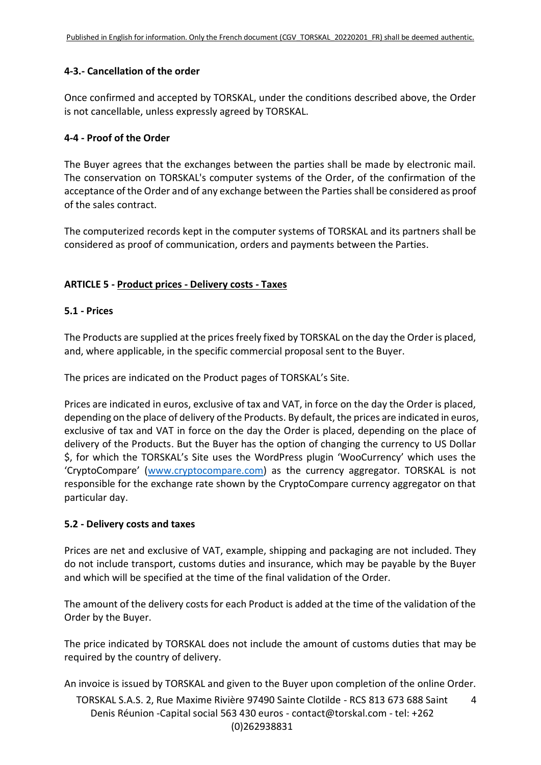### **4-3.- Cancellation of the order**

Once confirmed and accepted by TORSKAL, under the conditions described above, the Order is not cancellable, unless expressly agreed by TORSKAL.

### **4-4 - Proof of the Order**

The Buyer agrees that the exchanges between the parties shall be made by electronic mail. The conservation on TORSKAL's computer systems of the Order, of the confirmation of the acceptance of the Order and of any exchange between the Parties shall be considered as proof of the sales contract.

The computerized records kept in the computer systems of TORSKAL and its partners shall be considered as proof of communication, orders and payments between the Parties.

## **ARTICLE 5 - Product prices - Delivery costs - Taxes**

### **5.1 - Prices**

The Products are supplied at the prices freely fixed by TORSKAL on the day the Order is placed, and, where applicable, in the specific commercial proposal sent to the Buyer.

The prices are indicated on the Product pages of TORSKAL's Site.

Prices are indicated in euros, exclusive of tax and VAT, in force on the day the Order is placed, depending on the place of delivery of the Products. By default, the prices are indicated in euros, exclusive of tax and VAT in force on the day the Order is placed, depending on the place of delivery of the Products. But the Buyer has the option of changing the currency to US Dollar \$, for which the TORSKAL's Site uses the WordPress plugin 'WooCurrency' which uses the 'CryptoCompare' ([www.cryptocompare.com\)](http://www.cryptocompare.com/) as the currency aggregator. TORSKAL is not responsible for the exchange rate shown by the CryptoCompare currency aggregator on that particular day.

#### **5.2 - Delivery costs and taxes**

Prices are net and exclusive of VAT, example, shipping and packaging are not included. They do not include transport, customs duties and insurance, which may be payable by the Buyer and which will be specified at the time of the final validation of the Order.

The amount of the delivery costs for each Product is added at the time of the validation of the Order by the Buyer.

The price indicated by TORSKAL does not include the amount of customs duties that may be required by the country of delivery.

An invoice is issued by TORSKAL and given to the Buyer upon completion of the online Order.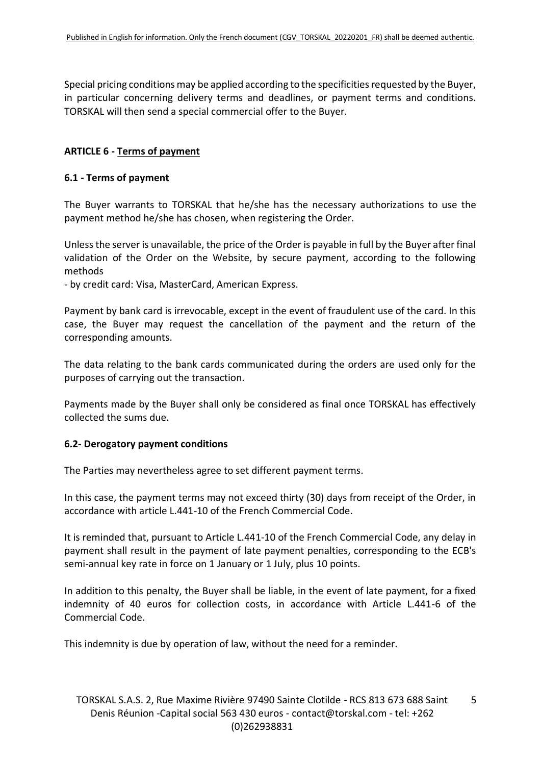Special pricing conditions may be applied according to the specificities requested by the Buyer, in particular concerning delivery terms and deadlines, or payment terms and conditions. TORSKAL will then send a special commercial offer to the Buyer.

### **ARTICLE 6 - Terms of payment**

#### **6.1 - Terms of payment**

The Buyer warrants to TORSKAL that he/she has the necessary authorizations to use the payment method he/she has chosen, when registering the Order.

Unless the server is unavailable, the price of the Order is payable in full by the Buyer after final validation of the Order on the Website, by secure payment, according to the following methods

- by credit card: Visa, MasterCard, American Express.

Payment by bank card is irrevocable, except in the event of fraudulent use of the card. In this case, the Buyer may request the cancellation of the payment and the return of the corresponding amounts.

The data relating to the bank cards communicated during the orders are used only for the purposes of carrying out the transaction.

Payments made by the Buyer shall only be considered as final once TORSKAL has effectively collected the sums due.

#### **6.2- Derogatory payment conditions**

The Parties may nevertheless agree to set different payment terms.

In this case, the payment terms may not exceed thirty (30) days from receipt of the Order, in accordance with article L.441-10 of the French Commercial Code.

It is reminded that, pursuant to Article L.441-10 of the French Commercial Code, any delay in payment shall result in the payment of late payment penalties, corresponding to the ECB's semi-annual key rate in force on 1 January or 1 July, plus 10 points.

In addition to this penalty, the Buyer shall be liable, in the event of late payment, for a fixed indemnity of 40 euros for collection costs, in accordance with Article L.441-6 of the Commercial Code.

This indemnity is due by operation of law, without the need for a reminder.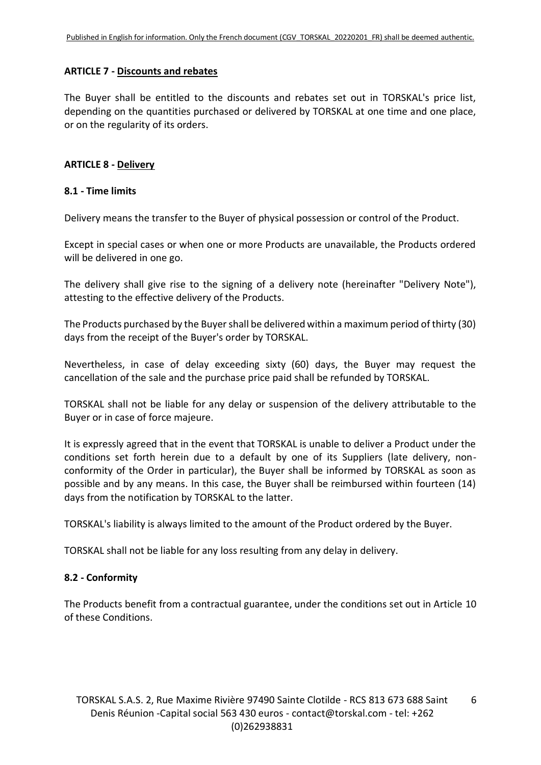#### **ARTICLE 7 - Discounts and rebates**

The Buyer shall be entitled to the discounts and rebates set out in TORSKAL's price list, depending on the quantities purchased or delivered by TORSKAL at one time and one place, or on the regularity of its orders.

### **ARTICLE 8 - Delivery**

#### **8.1 - Time limits**

Delivery means the transfer to the Buyer of physical possession or control of the Product.

Except in special cases or when one or more Products are unavailable, the Products ordered will be delivered in one go.

The delivery shall give rise to the signing of a delivery note (hereinafter "Delivery Note"), attesting to the effective delivery of the Products.

The Products purchased by the Buyer shall be delivered within a maximum period of thirty (30) days from the receipt of the Buyer's order by TORSKAL.

Nevertheless, in case of delay exceeding sixty (60) days, the Buyer may request the cancellation of the sale and the purchase price paid shall be refunded by TORSKAL.

TORSKAL shall not be liable for any delay or suspension of the delivery attributable to the Buyer or in case of force majeure.

It is expressly agreed that in the event that TORSKAL is unable to deliver a Product under the conditions set forth herein due to a default by one of its Suppliers (late delivery, nonconformity of the Order in particular), the Buyer shall be informed by TORSKAL as soon as possible and by any means. In this case, the Buyer shall be reimbursed within fourteen (14) days from the notification by TORSKAL to the latter.

TORSKAL's liability is always limited to the amount of the Product ordered by the Buyer.

TORSKAL shall not be liable for any loss resulting from any delay in delivery.

## **8.2 - Conformity**

The Products benefit from a contractual guarantee, under the conditions set out in Article 10 of these Conditions.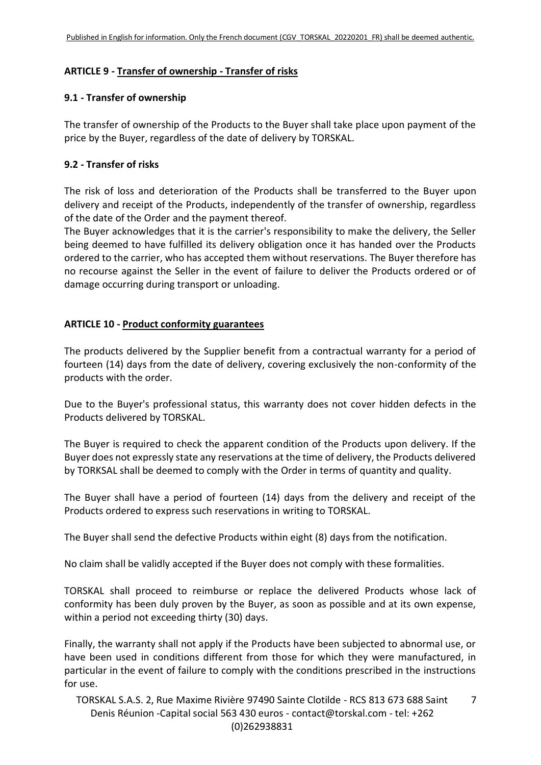## **ARTICLE 9 - Transfer of ownership - Transfer of risks**

### **9.1 - Transfer of ownership**

The transfer of ownership of the Products to the Buyer shall take place upon payment of the price by the Buyer, regardless of the date of delivery by TORSKAL.

### **9.2 - Transfer of risks**

The risk of loss and deterioration of the Products shall be transferred to the Buyer upon delivery and receipt of the Products, independently of the transfer of ownership, regardless of the date of the Order and the payment thereof.

The Buyer acknowledges that it is the carrier's responsibility to make the delivery, the Seller being deemed to have fulfilled its delivery obligation once it has handed over the Products ordered to the carrier, who has accepted them without reservations. The Buyer therefore has no recourse against the Seller in the event of failure to deliver the Products ordered or of damage occurring during transport or unloading.

## **ARTICLE 10 - Product conformity guarantees**

The products delivered by the Supplier benefit from a contractual warranty for a period of fourteen (14) days from the date of delivery, covering exclusively the non-conformity of the products with the order.

Due to the Buyer's professional status, this warranty does not cover hidden defects in the Products delivered by TORSKAL.

The Buyer is required to check the apparent condition of the Products upon delivery. If the Buyer does not expressly state any reservations at the time of delivery, the Products delivered by TORKSAL shall be deemed to comply with the Order in terms of quantity and quality.

The Buyer shall have a period of fourteen (14) days from the delivery and receipt of the Products ordered to express such reservations in writing to TORSKAL.

The Buyer shall send the defective Products within eight (8) days from the notification.

No claim shall be validly accepted if the Buyer does not comply with these formalities.

TORSKAL shall proceed to reimburse or replace the delivered Products whose lack of conformity has been duly proven by the Buyer, as soon as possible and at its own expense, within a period not exceeding thirty (30) days.

Finally, the warranty shall not apply if the Products have been subjected to abnormal use, or have been used in conditions different from those for which they were manufactured, in particular in the event of failure to comply with the conditions prescribed in the instructions for use.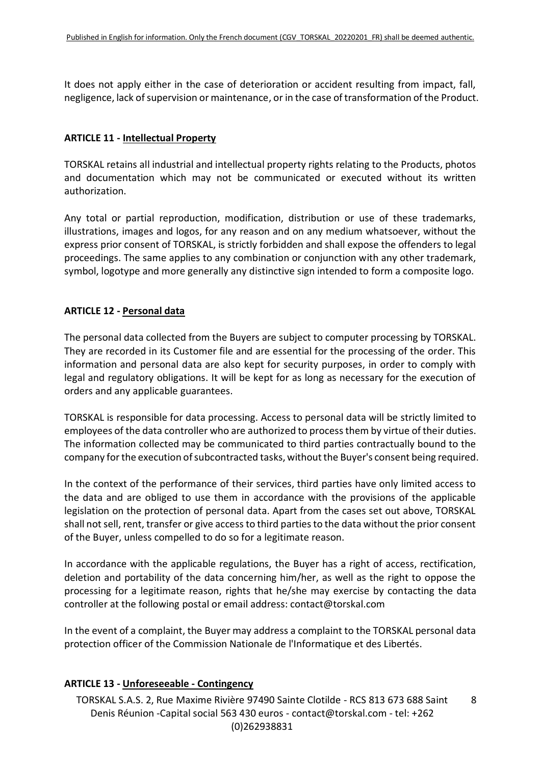It does not apply either in the case of deterioration or accident resulting from impact, fall, negligence, lack of supervision or maintenance, or in the case of transformation of the Product.

### **ARTICLE 11 - Intellectual Property**

TORSKAL retains all industrial and intellectual property rights relating to the Products, photos and documentation which may not be communicated or executed without its written authorization.

Any total or partial reproduction, modification, distribution or use of these trademarks, illustrations, images and logos, for any reason and on any medium whatsoever, without the express prior consent of TORSKAL, is strictly forbidden and shall expose the offenders to legal proceedings. The same applies to any combination or conjunction with any other trademark, symbol, logotype and more generally any distinctive sign intended to form a composite logo.

## **ARTICLE 12 - Personal data**

The personal data collected from the Buyers are subject to computer processing by TORSKAL. They are recorded in its Customer file and are essential for the processing of the order. This information and personal data are also kept for security purposes, in order to comply with legal and regulatory obligations. It will be kept for as long as necessary for the execution of orders and any applicable guarantees.

TORSKAL is responsible for data processing. Access to personal data will be strictly limited to employees of the data controller who are authorized to process them by virtue of their duties. The information collected may be communicated to third parties contractually bound to the company for the execution of subcontracted tasks, without the Buyer's consent being required.

In the context of the performance of their services, third parties have only limited access to the data and are obliged to use them in accordance with the provisions of the applicable legislation on the protection of personal data. Apart from the cases set out above, TORSKAL shall not sell, rent, transfer or give access to third parties to the data without the prior consent of the Buyer, unless compelled to do so for a legitimate reason.

In accordance with the applicable regulations, the Buyer has a right of access, rectification, deletion and portability of the data concerning him/her, as well as the right to oppose the processing for a legitimate reason, rights that he/she may exercise by contacting the data controller at the following postal or email address: contact@torskal.com

In the event of a complaint, the Buyer may address a complaint to the TORSKAL personal data protection officer of the Commission Nationale de l'Informatique et des Libertés.

## **ARTICLE 13 - Unforeseeable - Contingency**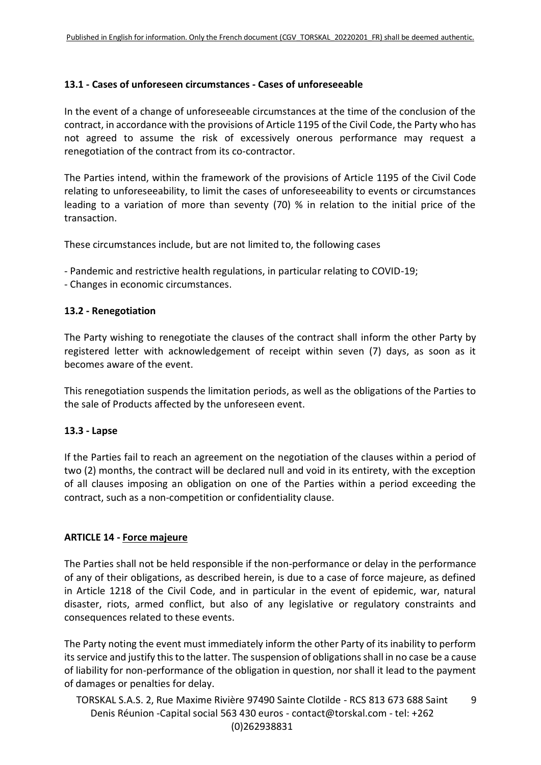### **13.1 - Cases of unforeseen circumstances - Cases of unforeseeable**

In the event of a change of unforeseeable circumstances at the time of the conclusion of the contract, in accordance with the provisions of Article 1195 of the Civil Code, the Party who has not agreed to assume the risk of excessively onerous performance may request a renegotiation of the contract from its co-contractor.

The Parties intend, within the framework of the provisions of Article 1195 of the Civil Code relating to unforeseeability, to limit the cases of unforeseeability to events or circumstances leading to a variation of more than seventy (70) % in relation to the initial price of the transaction.

These circumstances include, but are not limited to, the following cases

- Pandemic and restrictive health regulations, in particular relating to COVID-19;
- Changes in economic circumstances.

### **13.2 - Renegotiation**

The Party wishing to renegotiate the clauses of the contract shall inform the other Party by registered letter with acknowledgement of receipt within seven (7) days, as soon as it becomes aware of the event.

This renegotiation suspends the limitation periods, as well as the obligations of the Parties to the sale of Products affected by the unforeseen event.

#### **13.3 - Lapse**

If the Parties fail to reach an agreement on the negotiation of the clauses within a period of two (2) months, the contract will be declared null and void in its entirety, with the exception of all clauses imposing an obligation on one of the Parties within a period exceeding the contract, such as a non-competition or confidentiality clause.

#### **ARTICLE 14 - Force majeure**

The Parties shall not be held responsible if the non-performance or delay in the performance of any of their obligations, as described herein, is due to a case of force majeure, as defined in Article 1218 of the Civil Code, and in particular in the event of epidemic, war, natural disaster, riots, armed conflict, but also of any legislative or regulatory constraints and consequences related to these events.

The Party noting the event must immediately inform the other Party of its inability to perform its service and justify this to the latter. The suspension of obligations shall in no case be a cause of liability for non-performance of the obligation in question, nor shall it lead to the payment of damages or penalties for delay.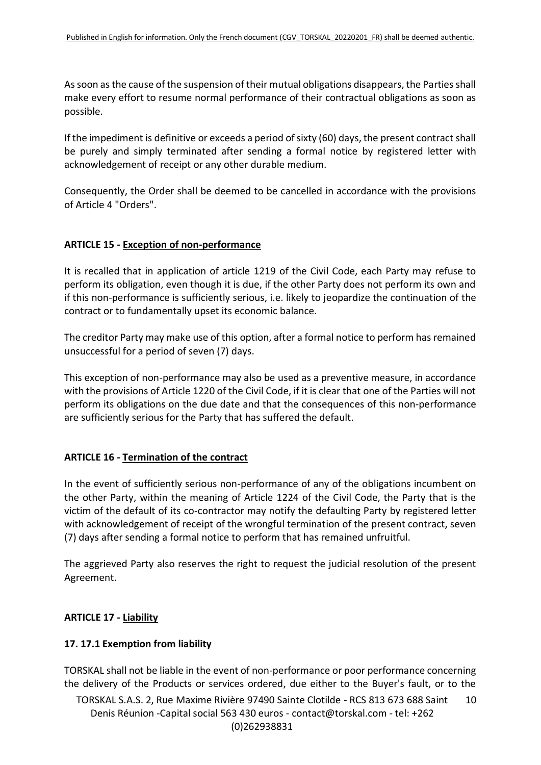As soon as the cause of the suspension of their mutual obligations disappears, the Parties shall make every effort to resume normal performance of their contractual obligations as soon as possible.

If the impediment is definitive or exceeds a period of sixty (60) days, the present contract shall be purely and simply terminated after sending a formal notice by registered letter with acknowledgement of receipt or any other durable medium.

Consequently, the Order shall be deemed to be cancelled in accordance with the provisions of Article 4 "Orders".

## **ARTICLE 15 - Exception of non-performance**

It is recalled that in application of article 1219 of the Civil Code, each Party may refuse to perform its obligation, even though it is due, if the other Party does not perform its own and if this non-performance is sufficiently serious, i.e. likely to jeopardize the continuation of the contract or to fundamentally upset its economic balance.

The creditor Party may make use of this option, after a formal notice to perform has remained unsuccessful for a period of seven (7) days.

This exception of non-performance may also be used as a preventive measure, in accordance with the provisions of Article 1220 of the Civil Code, if it is clear that one of the Parties will not perform its obligations on the due date and that the consequences of this non-performance are sufficiently serious for the Party that has suffered the default.

## **ARTICLE 16 - Termination of the contract**

In the event of sufficiently serious non-performance of any of the obligations incumbent on the other Party, within the meaning of Article 1224 of the Civil Code, the Party that is the victim of the default of its co-contractor may notify the defaulting Party by registered letter with acknowledgement of receipt of the wrongful termination of the present contract, seven (7) days after sending a formal notice to perform that has remained unfruitful.

The aggrieved Party also reserves the right to request the judicial resolution of the present Agreement.

## **ARTICLE 17 - Liability**

## **17. 17.1 Exemption from liability**

TORSKAL shall not be liable in the event of non-performance or poor performance concerning the delivery of the Products or services ordered, due either to the Buyer's fault, or to the